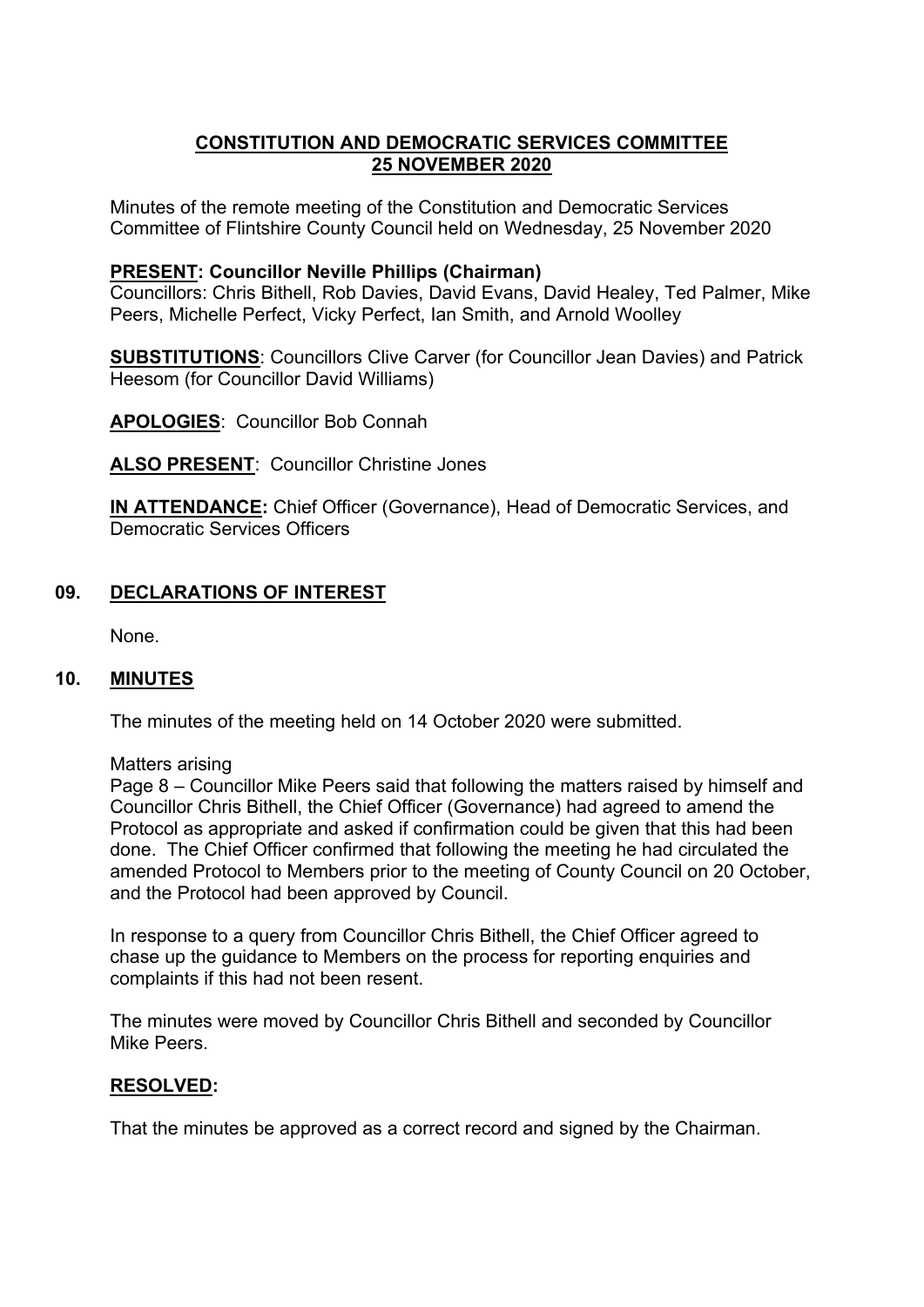# **CONSTITUTION AND DEMOCRATIC SERVICES COMMITTEE 25 NOVEMBER 2020**

Minutes of the remote meeting of the Constitution and Democratic Services Committee of Flintshire County Council held on Wednesday, 25 November 2020

### **PRESENT: Councillor Neville Phillips (Chairman)**

Councillors: Chris Bithell, Rob Davies, David Evans, David Healey, Ted Palmer, Mike Peers, Michelle Perfect, Vicky Perfect, Ian Smith, and Arnold Woolley

**SUBSTITUTIONS**: Councillors Clive Carver (for Councillor Jean Davies) and Patrick Heesom (for Councillor David Williams)

**APOLOGIES**: Councillor Bob Connah

**ALSO PRESENT**: Councillor Christine Jones

**IN ATTENDANCE:** Chief Officer (Governance), Head of Democratic Services, and Democratic Services Officers

## **09. DECLARATIONS OF INTEREST**

None.

## **10. MINUTES**

The minutes of the meeting held on 14 October 2020 were submitted.

Matters arising

Page 8 – Councillor Mike Peers said that following the matters raised by himself and Councillor Chris Bithell, the Chief Officer (Governance) had agreed to amend the Protocol as appropriate and asked if confirmation could be given that this had been done. The Chief Officer confirmed that following the meeting he had circulated the amended Protocol to Members prior to the meeting of County Council on 20 October, and the Protocol had been approved by Council.

In response to a query from Councillor Chris Bithell, the Chief Officer agreed to chase up the guidance to Members on the process for reporting enquiries and complaints if this had not been resent.

The minutes were moved by Councillor Chris Bithell and seconded by Councillor Mike Peers.

#### **RESOLVED:**

That the minutes be approved as a correct record and signed by the Chairman.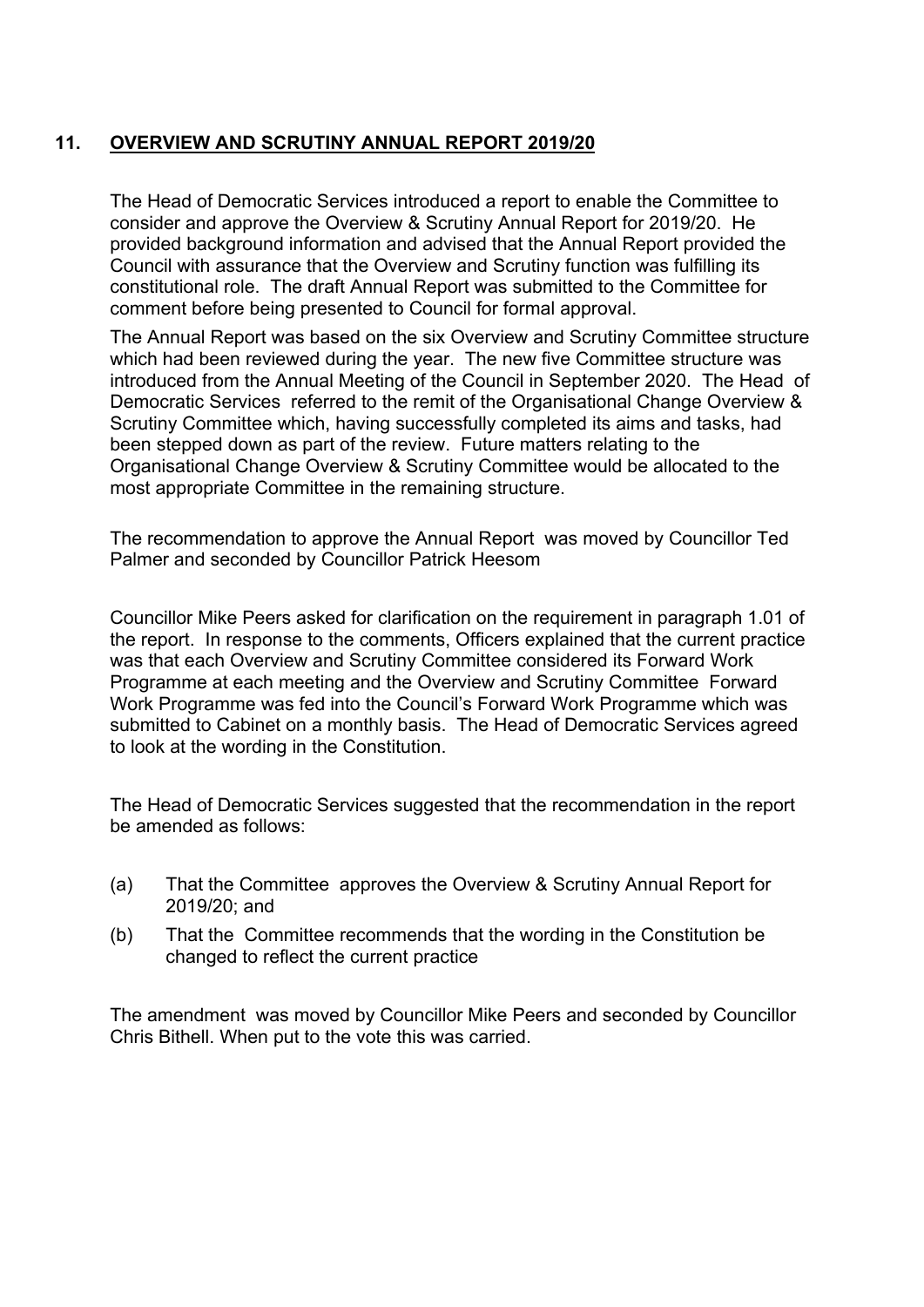# **11. OVERVIEW AND SCRUTINY ANNUAL REPORT 2019/20**

The Head of Democratic Services introduced a report to enable the Committee to consider and approve the Overview & Scrutiny Annual Report for 2019/20. He provided background information and advised that the Annual Report provided the Council with assurance that the Overview and Scrutiny function was fulfilling its constitutional role. The draft Annual Report was submitted to the Committee for comment before being presented to Council for formal approval.

The Annual Report was based on the six Overview and Scrutiny Committee structure which had been reviewed during the year. The new five Committee structure was introduced from the Annual Meeting of the Council in September 2020. The Head of Democratic Services referred to the remit of the Organisational Change Overview & Scrutiny Committee which, having successfully completed its aims and tasks, had been stepped down as part of the review. Future matters relating to the Organisational Change Overview & Scrutiny Committee would be allocated to the most appropriate Committee in the remaining structure.

The recommendation to approve the Annual Report was moved by Councillor Ted Palmer and seconded by Councillor Patrick Heesom

Councillor Mike Peers asked for clarification on the requirement in paragraph 1.01 of the report. In response to the comments, Officers explained that the current practice was that each Overview and Scrutiny Committee considered its Forward Work Programme at each meeting and the Overview and Scrutiny Committee Forward Work Programme was fed into the Council's Forward Work Programme which was submitted to Cabinet on a monthly basis. The Head of Democratic Services agreed to look at the wording in the Constitution.

The Head of Democratic Services suggested that the recommendation in the report be amended as follows:

- (a) That the Committee approves the Overview & Scrutiny Annual Report for 2019/20; and
- (b) That the Committee recommends that the wording in the Constitution be changed to reflect the current practice

The amendment was moved by Councillor Mike Peers and seconded by Councillor Chris Bithell. When put to the vote this was carried.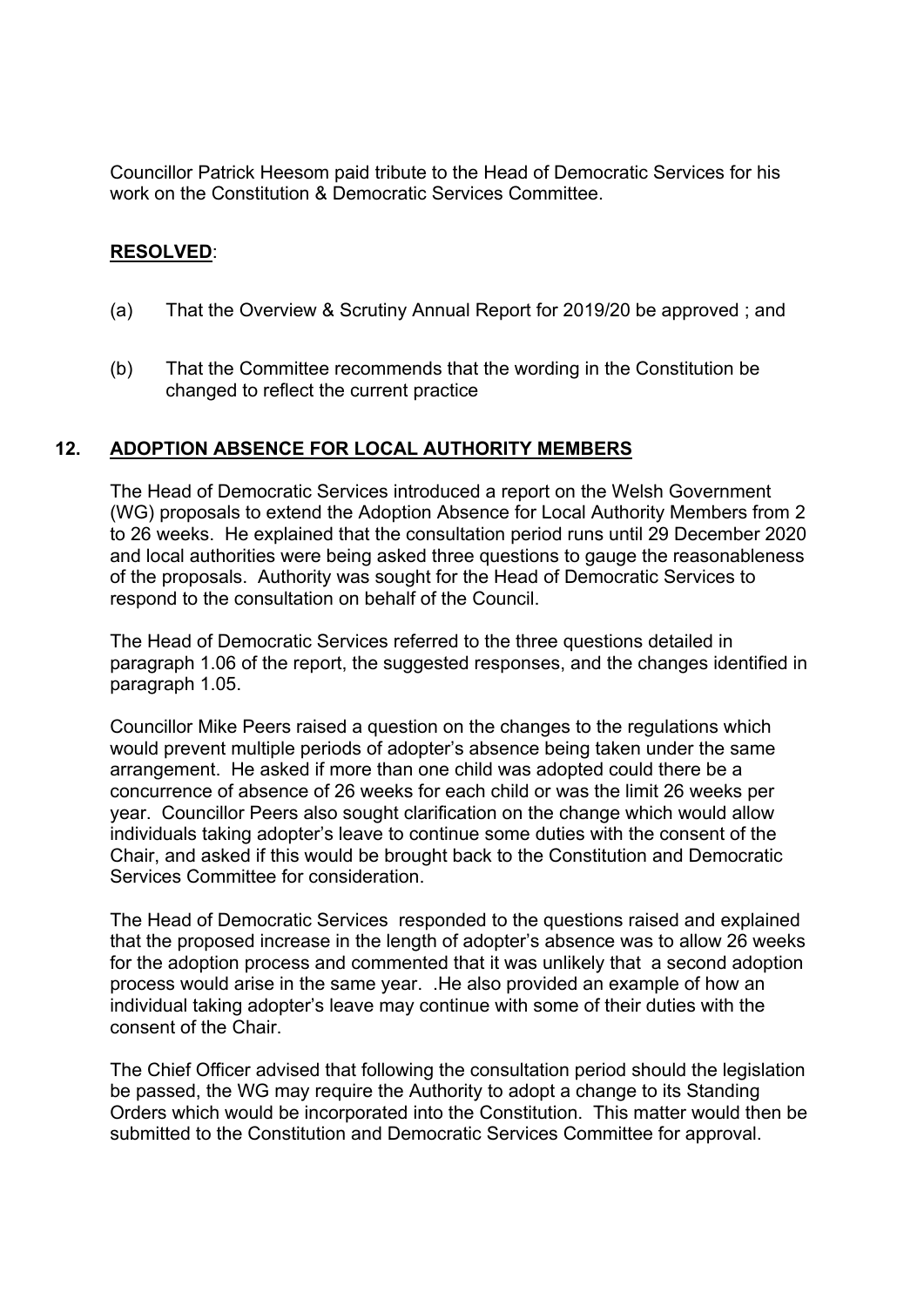Councillor Patrick Heesom paid tribute to the Head of Democratic Services for his work on the Constitution & Democratic Services Committee.

## **RESOLVED**:

- (a) That the Overview & Scrutiny Annual Report for 2019/20 be approved ; and
- (b) That the Committee recommends that the wording in the Constitution be changed to reflect the current practice

## **12. ADOPTION ABSENCE FOR LOCAL AUTHORITY MEMBERS**

 The Head of Democratic Services introduced a report on the Welsh Government (WG) proposals to extend the Adoption Absence for Local Authority Members from 2 to 26 weeks. He explained that the consultation period runs until 29 December 2020 and local authorities were being asked three questions to gauge the reasonableness of the proposals. Authority was sought for the Head of Democratic Services to respond to the consultation on behalf of the Council.

The Head of Democratic Services referred to the three questions detailed in paragraph 1.06 of the report, the suggested responses, and the changes identified in paragraph 1.05.

Councillor Mike Peers raised a question on the changes to the regulations which would prevent multiple periods of adopter's absence being taken under the same arrangement. He asked if more than one child was adopted could there be a concurrence of absence of 26 weeks for each child or was the limit 26 weeks per year. Councillor Peers also sought clarification on the change which would allow individuals taking adopter's leave to continue some duties with the consent of the Chair, and asked if this would be brought back to the Constitution and Democratic Services Committee for consideration.

The Head of Democratic Services responded to the questions raised and explained that the proposed increase in the length of adopter's absence was to allow 26 weeks for the adoption process and commented that it was unlikely that a second adoption process would arise in the same year. .He also provided an example of how an individual taking adopter's leave may continue with some of their duties with the consent of the Chair.

The Chief Officer advised that following the consultation period should the legislation be passed, the WG may require the Authority to adopt a change to its Standing Orders which would be incorporated into the Constitution. This matter would then be submitted to the Constitution and Democratic Services Committee for approval.